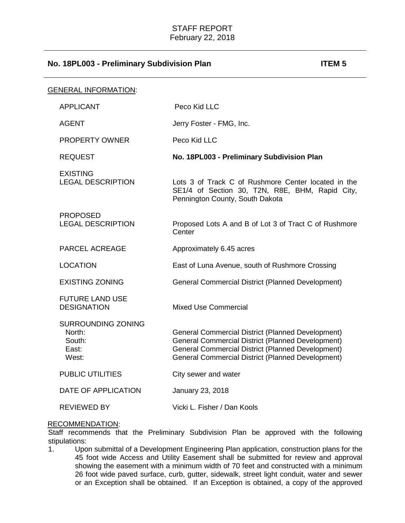| GENERAL INFORMATION:                                     |                                                                                                                                                                                                                                              |
|----------------------------------------------------------|----------------------------------------------------------------------------------------------------------------------------------------------------------------------------------------------------------------------------------------------|
| <b>APPLICANT</b>                                         | Peco Kid LLC                                                                                                                                                                                                                                 |
| <b>AGENT</b>                                             | Jerry Foster - FMG, Inc.                                                                                                                                                                                                                     |
| <b>PROPERTY OWNER</b>                                    | Peco Kid LLC                                                                                                                                                                                                                                 |
| <b>REQUEST</b>                                           | No. 18PL003 - Preliminary Subdivision Plan                                                                                                                                                                                                   |
| <b>EXISTING</b><br><b>LEGAL DESCRIPTION</b>              | Lots 3 of Track C of Rushmore Center located in the<br>SE1/4 of Section 30, T2N, R8E, BHM, Rapid City,<br>Pennington County, South Dakota                                                                                                    |
| <b>PROPOSED</b><br><b>LEGAL DESCRIPTION</b>              | Proposed Lots A and B of Lot 3 of Tract C of Rushmore<br>Center                                                                                                                                                                              |
| PARCEL ACREAGE                                           | Approximately 6.45 acres                                                                                                                                                                                                                     |
| <b>LOCATION</b>                                          | East of Luna Avenue, south of Rushmore Crossing                                                                                                                                                                                              |
| <b>EXISTING ZONING</b>                                   | <b>General Commercial District (Planned Development)</b>                                                                                                                                                                                     |
| <b>FUTURE LAND USE</b><br><b>DESIGNATION</b>             | <b>Mixed Use Commercial</b>                                                                                                                                                                                                                  |
| SURROUNDING ZONING<br>North:<br>South:<br>East:<br>West: | <b>General Commercial District (Planned Development)</b><br><b>General Commercial District (Planned Development)</b><br><b>General Commercial District (Planned Development)</b><br><b>General Commercial District (Planned Development)</b> |
| <b>PUBLIC UTILITIES</b>                                  | City sewer and water                                                                                                                                                                                                                         |
| DATE OF APPLICATION                                      | January 23, 2018                                                                                                                                                                                                                             |
| <b>REVIEWED BY</b>                                       | Vicki L. Fisher / Dan Kools                                                                                                                                                                                                                  |

### RECOMMENDATION:

Staff recommends that the Preliminary Subdivision Plan be approved with the following stipulations:<br>1. Upo

1. Upon submittal of a Development Engineering Plan application, construction plans for the 45 foot wide Access and Utility Easement shall be submitted for review and approval showing the easement with a minimum width of 70 feet and constructed with a minimum 26 foot wide paved surface, curb, gutter, sidewalk, street light conduit, water and sewer or an Exception shall be obtained. If an Exception is obtained, a copy of the approved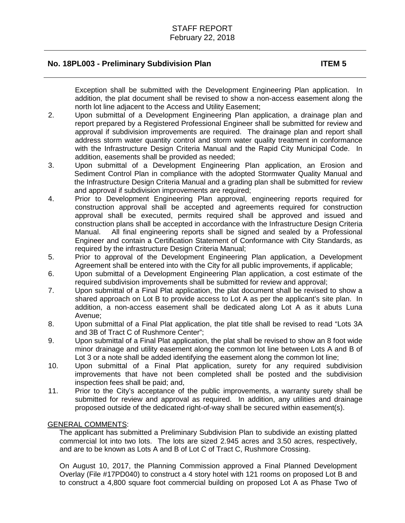Exception shall be submitted with the Development Engineering Plan application. In addition, the plat document shall be revised to show a non-access easement along the north lot line adjacent to the Access and Utility Easement;

- 2. Upon submittal of a Development Engineering Plan application, a drainage plan and report prepared by a Registered Professional Engineer shall be submitted for review and approval if subdivision improvements are required. The drainage plan and report shall address storm water quantity control and storm water quality treatment in conformance with the Infrastructure Design Criteria Manual and the Rapid City Municipal Code. In addition, easements shall be provided as needed;
- 3. Upon submittal of a Development Engineering Plan application, an Erosion and Sediment Control Plan in compliance with the adopted Stormwater Quality Manual and the Infrastructure Design Criteria Manual and a grading plan shall be submitted for review and approval if subdivision improvements are required;
- 4. Prior to Development Engineering Plan approval, engineering reports required for construction approval shall be accepted and agreements required for construction approval shall be executed, permits required shall be approved and issued and construction plans shall be accepted in accordance with the Infrastructure Design Criteria Manual. All final engineering reports shall be signed and sealed by a Professional Engineer and contain a Certification Statement of Conformance with City Standards, as required by the infrastructure Design Criteria Manual;
- 5. Prior to approval of the Development Engineering Plan application, a Development Agreement shall be entered into with the City for all public improvements, if applicable;
- 6. Upon submittal of a Development Engineering Plan application, a cost estimate of the required subdivision improvements shall be submitted for review and approval;
- 7. Upon submittal of a Final Plat application, the plat document shall be revised to show a shared approach on Lot B to provide access to Lot A as per the applicant's site plan. In addition, a non-access easement shall be dedicated along Lot A as it abuts Luna Avenue;
- 8. Upon submittal of a Final Plat application, the plat title shall be revised to read "Lots 3A and 3B of Tract C of Rushmore Center";
- 9. Upon submittal of a Final Plat application, the plat shall be revised to show an 8 foot wide minor drainage and utility easement along the common lot line between Lots A and B of Lot 3 or a note shall be added identifying the easement along the common lot line;
- 10. Upon submittal of a Final Plat application, surety for any required subdivision improvements that have not been completed shall be posted and the subdivision inspection fees shall be paid; and,
- 11. Prior to the City's acceptance of the public improvements, a warranty surety shall be submitted for review and approval as required. In addition, any utilities and drainage proposed outside of the dedicated right-of-way shall be secured within easement(s).

## GENERAL COMMENTS:

The applicant has submitted a Preliminary Subdivision Plan to subdivide an existing platted commercial lot into two lots. The lots are sized 2.945 acres and 3.50 acres, respectively, and are to be known as Lots A and B of Lot C of Tract C, Rushmore Crossing.

On August 10, 2017, the Planning Commission approved a Final Planned Development Overlay (File #17PD040) to construct a 4 story hotel with 121 rooms on proposed Lot B and to construct a 4,800 square foot commercial building on proposed Lot A as Phase Two of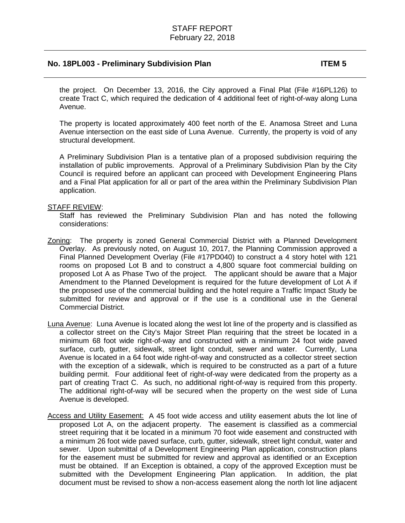the project. On December 13, 2016, the City approved a Final Plat (File #16PL126) to create Tract C, which required the dedication of 4 additional feet of right-of-way along Luna Avenue.

The property is located approximately 400 feet north of the E. Anamosa Street and Luna Avenue intersection on the east side of Luna Avenue. Currently, the property is void of any structural development.

A Preliminary Subdivision Plan is a tentative plan of a proposed subdivision requiring the installation of public improvements. Approval of a Preliminary Subdivision Plan by the City Council is required before an applicant can proceed with Development Engineering Plans and a Final Plat application for all or part of the area within the Preliminary Subdivision Plan application.

### STAFF REVIEW:

Staff has reviewed the Preliminary Subdivision Plan and has noted the following considerations:

- Zoning: The property is zoned General Commercial District with a Planned Development Overlay. As previously noted, on August 10, 2017, the Planning Commission approved a Final Planned Development Overlay (File #17PD040) to construct a 4 story hotel with 121 rooms on proposed Lot B and to construct a 4,800 square foot commercial building on proposed Lot A as Phase Two of the project. The applicant should be aware that a Major Amendment to the Planned Development is required for the future development of Lot A if the proposed use of the commercial building and the hotel require a Traffic Impact Study be submitted for review and approval or if the use is a conditional use in the General Commercial District.
- Luna Avenue: Luna Avenue is located along the west lot line of the property and is classified as a collector street on the City's Major Street Plan requiring that the street be located in a minimum 68 foot wide right-of-way and constructed with a minimum 24 foot wide paved surface, curb, gutter, sidewalk, street light conduit, sewer and water. Currently, Luna Avenue is located in a 64 foot wide right-of-way and constructed as a collector street section with the exception of a sidewalk, which is required to be constructed as a part of a future building permit. Four additional feet of right-of-way were dedicated from the property as a part of creating Tract C. As such, no additional right-of-way is required from this property. The additional right-of-way will be secured when the property on the west side of Luna Avenue is developed.
- Access and Utility Easement: A 45 foot wide access and utility easement abuts the lot line of proposed Lot A, on the adjacent property. The easement is classified as a commercial street requiring that it be located in a minimum 70 foot wide easement and constructed with a minimum 26 foot wide paved surface, curb, gutter, sidewalk, street light conduit, water and sewer. Upon submittal of a Development Engineering Plan application, construction plans for the easement must be submitted for review and approval as identified or an Exception must be obtained. If an Exception is obtained, a copy of the approved Exception must be submitted with the Development Engineering Plan application. In addition, the plat document must be revised to show a non-access easement along the north lot line adjacent